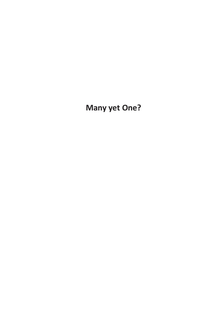**Many yet One?**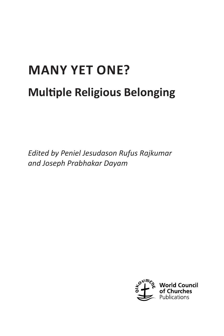# **MANY YET ONE? Multiple Religious Belonging**

*Edited by Peniel Jesudason Rufus Rajkumar and Joseph Prabhakar Dayam*

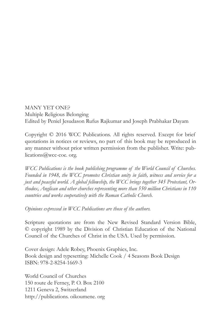#### MANY YET ONE?

Multiple Religious Belonging Edited by Peniel Jesudason Rufus Rajkumar and Joseph Prabhakar Dayam

Copyright © 2016 WCC Publications. All rights reserved. Except for brief quotations in notices or reviews, no part of this book may be reproduced in any manner without prior written permission from the publisher. Write: publications@wcc-coe. org.

*WCC Publications is the book publishing programme of the World Council of Churches. Founded in 1948, the WCC promotes Christian unity in faith, witness and service for a just and peaceful world. A global fellowship, the WCC brings together 345 Protestant, Orthodox, Anglican and other churches representing more than 550 million Christians in 110 countries and works cooperatively with the Roman Catholic Church.* 

*Opinions expressed in WCC Publications are those of the authors.* 

Scripture quotations are from the New Revised Standard Version Bible, © copyright 1989 by the Division of Christian Education of the National Council of the Churches of Christ in the USA. Used by permission.

Cover design: Adele Robey, Phoenix Graphics, Inc. Book design and typesetting: Michelle Cook / 4 Seasons Book Design ISBN: 978-2-8254-1669-3

World Council of Churches 150 route de Ferney, P. O. Box 2100 1211 Geneva 2, Switzerland http://publications. oikoumene. org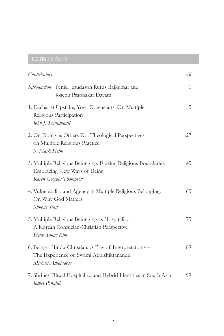# **CONTENTS**

| Contributors                                                                                                            | $\ddot{\rm u}$ |
|-------------------------------------------------------------------------------------------------------------------------|----------------|
| Introduction Peniel Jesudason Rufus Rajkumar and<br>Joseph Prabhakar Dayam                                              | $\mathbf{1}$   |
| 1. Eucharist Upstairs, Yoga Downstairs: On Multiple<br>Religious Participation<br>John J. Thatamanil                    | 5              |
| 2. On Doing as Others Do: Theological Perspectives<br>on Multiple Religious Practice<br>S. Mark Heim                    | 27             |
| 3. Multiple Religious Belonging: Erasing Religious Boundaries,<br>Embracing New Ways of Being<br>Karen Georgia Thompson | 45             |
| 4. Vulnerability and Agency in Multiple Religious Belonging:<br>Or, Why God Matters<br>Simone Sinn                      | 63             |
| 5. Multiple Religious Belonging as Hospitality:<br>A Korean Confucian-Christian Perspective<br>Heup Young Kim           | 75             |
| 6. Being a Hindu-Christian: A Play of Interpretations-<br>The Experience of Swami Abhishiktananda<br>Michael Amaladoss  | 89             |
| 7. Shrines, Ritual Hospitality, and Hybrid Identities in South Asia<br>James Ponniah                                    | 99             |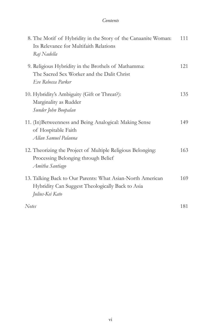#### *Contents*

| 8. The Motif of Hybridity in the Story of the Canaanite Woman:<br>Its Relevance for Multifaith Relations<br>Raj Nadella           | 111 |
|-----------------------------------------------------------------------------------------------------------------------------------|-----|
| 9. Religious Hybridity in the Brothels of Mathamma:<br>The Sacred Sex Worker and the Dalit Christ<br>Eve Rebecca Parker           | 121 |
| 10. Hybridity's Ambiguity (Gift or Threat?):<br>Marginality as Rudder<br>Sunder John Boopalan                                     | 135 |
| 11. (In)Betweenness and Being Analogical: Making Sense<br>of Hospitable Faith<br>Allan Samuel Palanna                             | 149 |
| 12. Theorizing the Project of Multiple Religious Belonging:<br>Processing Belonging through Belief<br>Amitha Santiago             | 163 |
| 13. Talking Back to Our Parents: What Asian-North American<br>Hybridity Can Suggest Theologically Back to Asia<br>Julius-Kei Kato | 169 |
| <b>Notes</b>                                                                                                                      | 181 |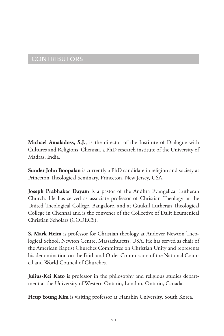# CONTRIBUTORS

**Michael Amaladoss, S.J.**, is the director of the Institute of Dialogue with Cultures and Religions, Chennai, a PhD research institute of the University of Madras, India.

**Sunder John Boopalan** is currently a PhD candidate in religion and society at Princeton Theological Seminary, Princeton, New Jersey, USA.

**Joseph Prabhakar Dayam** is a pastor of the Andhra Evangelical Lutheran Church. He has served as associate professor of Christian Theology at the United Theological College, Bangalore, and at Guukul Lutheran Theological College in Chennai and is the convener of the Collective of Dalit Ecumenical Christian Scholars (CODECS).

**S. Mark Heim** is professor for Christian theology at Andover Newton Theological School, Newton Centre, Massachusetts, USA. He has served as chair of the American Baptist Churches Committee on Christian Unity and represents his denomination on the Faith and Order Commission of the National Council and World Council of Churches.

**Julius-Kei Kato** is professor in the philosophy and religious studies department at the University of Western Ontario, London, Ontario, Canada.

**Heup Young Kim** is visiting professor at Hanshin University, South Korea.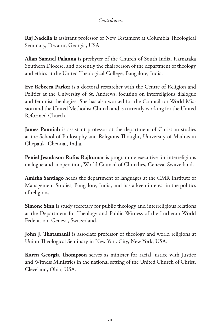#### *Contributors*

**Raj Nadella** is assistant professor of New Testament at Columbia Theological Seminary, Decatur, Georgia, USA.

**Allan Samuel Palanna** is presbyter of the Church of South India, Karnataka Southern Diocese, and presently the chairperson of the department of theology and ethics at the United Theological College, Bangalore, India.

**Eve Rebecca Parker** is a doctoral researcher with the Centre of Religion and Politics at the University of St. Andrews, focusing on interreligious dialogue and feminist theologies. She has also worked for the Council for World Mission and the United Methodist Church and is currently working for the United Reformed Church.

**James Ponniah** is assistant professor at the department of Christian studies at the School of Philosophy and Religious Thought, University of Madras in Chepauk, Chennai, India.

**Peniel Jesudason Rufus Rajkumar** is programme executive for interreligious dialogue and cooperation, World Council of Churches, Geneva, Switzerland.

**Amitha Santiago** heads the department of languages at the CMR Institute of Management Studies, Bangalore, India, and has a keen interest in the politics of religions.

**Simone Sinn** is study secretary for public theology and interreligious relations at the Department for Theology and Public Witness of the Lutheran World Federation, Geneva, Switzerland.

**John J. Thatamanil** is associate professor of theology and world religions at Union Theological Seminary in New York City, New York, USA.

**Karen Georgia Thompson** serves as minister for racial justice with Justice and Witness Ministries in the national setting of the United Church of Christ, Cleveland, Ohio, USA.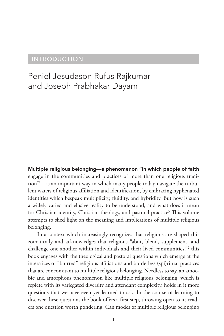### INTRODUCTION

# Peniel Jesudason Rufus Rajkumar and Joseph Prabhakar Dayam

Multiple religious belonging—a phenomenon "in which people of faith engage in the communities and practices of more than one religious tradition"1 —is an important way in which many people today navigate the turbulent waters of religious affiliation and identification, by embracing hyphenated identities which bespeak multiplicity, fluidity, and hybridity. But how is such a widely varied and elusive reality to be understood, and what does it mean for Christian identity, Christian theology, and pastoral practice? This volume attempts to shed light on the meaning and implications of multiple religious belonging.

In a context which increasingly recognizes that religions are shaped rhizomatically and acknowledges that religions "abut, blend, supplement, and challenge one another within individuals and their lived communities,"2 this book engages with the theological and pastoral questions which emerge at the interstices of "blurred" religious affiliations and borderless (spi)ritual practices that are concomitant to multiple religious belonging. Needless to say, an amoebic and amorphous phenomenon like multiple religious belonging, which is replete with its variegated diversity and attendant complexity, holds in it more questions that we have even yet learned to ask. In the course of learning to discover these questions the book offers a first step, throwing open to its readers one question worth pondering: Can modes of multiple religious belonging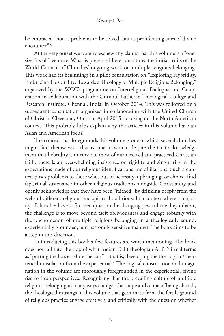be embraced "not as problems to be solved, but as proliferating sites of divine encounter"?3

At the very outset we want to eschew any claims that this volume is a "onesize-fits-all" venture. What is presented here constitutes the initial fruits of the World Council of Churches' ongoing work on multiple religious belonging. This work had its beginnings in a pilot consultation on "Exploring Hybridity, Embracing Hospitality: Towards a Theology of Multiple Religious Belonging," organized by the WCC's programme on Interreligious Dialogue and Cooperation in collaboration with the Gurukul Lutheran Theological College and Research Institute, Chennai, India, in October 2014. This was followed by a subsequent consultation organized in collaboration with the United Church of Christ in Cleveland, Ohio, in April 2015, focusing on the North American context. This probably helps explain why the articles in this volume have an Asian and American focus!

The context that foregrounds this volume is one in which several churches might find themselves—that is, one in which, despite the tacit acknowledgment that hybridity is intrinsic to most of our received and practiced Christian faith, there is an overwhelming insistence on rigidity and singularity in the expectations made of our religious identifications and affiliations. Such a context poses problems to those who, out of necessity, upbringing, or choice, find (spi)ritual sustenance in other religious traditions alongside Christianity and openly acknowledge that they have been "faithed" by drinking deeply from the wells of different religious and spiritual traditions. In a context where a majority of churches have so far been quiet on the changing pew culture they inhabit, the challenge is to move beyond tacit obliviousness and engage robustly with the phenomenon of multiple religious belonging in a theologically sound, experientially grounded, and pastorally sensitive manner. The book aims to be a step in this direction.

In introducing this book a few features are worth mentioning. The book does not fall into the trap of what Indian Dalit theologian A. P. Nirmal terms as "putting the horse before the cart"—that is, developing the theological/theoretical in isolation from the experiential.<sup>4</sup> Theological construction and imagination in the volume are thoroughly foregrounded in the experiential, giving rise to fresh perspectives. Recognizing that the prevailing culture of multiple religious belonging in many ways changes the shape and scope of being church, the theological musings in this volume that germinate from the fertile ground of religious practice engage creatively and critically with the question whether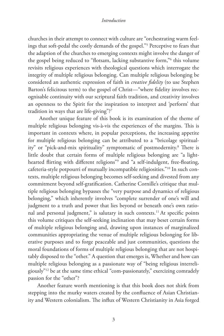#### *Introduction*

churches in their attempt to connect with culture are "orchestrating warm feelings that soft-pedal the costly demands of the gospel."5 Perceptive to fears that the adaption of the churches to emerging contexts might involve the danger of the gospel being reduced to "flotsam, lacking substantive form,"6 this volume revisits religious experiences with theological questions which interrogate the integrity of multiple religious belonging. Can multiple religious belonging be considered an authentic expression of faith in *creative fidelity* (to use Stephen Barton's felicitous term) to the gospel of Christ—"where fidelity involves recognisable continuity with our scriptural faith tradition, and creativity involves an openness to the Spirit for the inspiration to interpret and 'perform' that tradition in ways that are life-giving"?7

 Another unique feature of this book is its examination of the theme of multiple religious belonging vis-à-vis the experiences of the margins. This is important in contexts where, in popular perceptions, the increasing appetite for multiple religious belonging can be attributed to a "bricolage spirituality" or "pick-and-mix spirituality" symptomatic of postmodernity.<sup>8</sup> There is little doubt that certain forms of multiple religious belonging are "a lighthearted flirting with different religions"9 and "a self-indulgent, free-floating, cafeteria-style potpourri of mutually incompatible religiosities."10 In such contexts, multiple religious belonging becomes self-seeking and divested from any commitment beyond self-gratification. Catherine Cornille's critique that multiple religious belonging bypasses the "very purpose and dynamics of religious belonging," which inherently involves "complete surrender of one's will and judgment to a truth and power that lies beyond or beneath one's own rational and personal judgment," is salutary in such contexts.<sup>11</sup> At specific points this volume critiques the self-seeking inclination that may beset certain forms of multiple religious belonging and, drawing upon instances of marginalized communities appropriating the venue of multiple religious belonging for liberative purposes and to forge peaceable and just communities, questions the moral foundations of forms of multiple religious belonging that are not hospitably disposed to the "other." A question that emerges is, Whether and how can multiple religious belonging as a passionate way of "being religious interreligiously"12 be at the same time ethical "com-passionately," exercizing comradely passion for the "other"?

Another feature worth mentioning is that this book does not shirk from stepping into the murky waters created by the confluence of Asian Christianity and Western colonialism. The influx of Western Christianity in Asia forged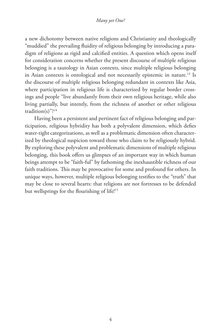#### *Many yet One?*

a new dichotomy between native religions and Christianity and theologically "muddied" the prevailing fluidity of religious belonging by introducing a paradigm of religions as rigid and calcified entities. A question which opens itself for consideration concerns whether the present discourse of multiple religious belonging is a tautology in Asian contexts, since multiple religious belonging in Asian contexts is ontological and not necessarily epistemic in nature.<sup>13</sup> Is the discourse of multiple religious belonging redundant in contexts like Asia, where participation in religious life is characterized by regular border crossings and people "live abundantly from their own religious heritage, while also living partially, but intently, from the richness of another or other religious tradition(s)"? $14$ 

Having been a persistent and pertinent fact of religious belonging and participation, religious hybridity has both a polyvalent dimension, which defies water-tight categorizations, as well as a problematic dimension often characterized by theological suspicion toward those who claim to be religiously hybrid. By exploring these polyvalent and problematic dimensions of multiple religious belonging, this book offers us glimpses of an important way in which human beings attempt to be "faith-ful" by fathoming the inexhaustible richness of our faith traditions. This may be provocative for some and profound for others. In unique ways, however, multiple religious belonging testifies to the "truth" that may be close to several hearts: that religions are not fortresses to be defended but wellsprings for the flourishing of life!<sup>15</sup>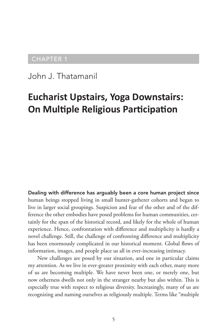## CHAPTER 1

John J. Thatamanil

# **Eucharist Upstairs, Yoga Downstairs: On Multiple Religious Participation**

Dealing with difference has arguably been a core human project since human beings stopped living in small hunter-gatherer cohorts and began to live in larger social groupings. Suspicion and fear of the other and of the difference the other embodies have posed problems for human communities, certainly for the span of the historical record, and likely for the whole of human experience. Hence, confrontation with difference and multiplicity is hardly a novel challenge. Still, the challenge of confronting difference and multiplicity has been enormously complicated in our historical moment. Global flows of information, images, and people place us all in ever-increasing intimacy.

New challenges are posed by our situation, and one in particular claims my attention. As we live in ever-greater proximity with each other, many more of us are becoming multiple. We have never been one, or merely one, but now otherness dwells not only in the stranger nearby but also within. This is especially true with respect to religious diversity. Increasingly, many of us are recognizing and naming ourselves as religiously multiple. Terms like "multiple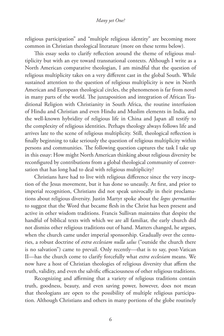religious participation" and "multiple religious identity" are becoming more common in Christian theological literature (more on these terms below).

This essay seeks to clarify reflection around the theme of religious multiplicity but with an eye toward transnational contexts. Although I write as a North American comparative theologian, I am mindful that the question of religious multiplicity takes on a very different cast in the global South. While sustained attention to the question of religious multiplicity is new in North American and European theological circles, the phenomenon is far from novel in many parts of the world. The juxtaposition and integration of African Traditional Religion with Christianity in South Africa, the routine interfusion of Hindu and Christian and even Hindu and Muslim elements in India, and the well-known hybridity of religious life in China and Japan all testify to the complexity of religious identities. Perhaps theology always follows life and arrives late to the scene of religious multiplicity. Still, theological reflection is finally beginning to take seriously the question of religious multiplicity within persons and communities. The following question captures the task I take up in this essay: How might North American thinking about religious diversity be reconfigured by contributions from a global theological community of conversation that has long had to deal with religious multiplicity?

Christians have had to live with religious difference since the very inception of the Jesus movement, but it has done so uneasily. At first, and prior to imperial recognition, Christians did not speak univocally in their proclamations about religious diversity. Justin Martyr spoke about the *logos spermatikos* to suggest that the Word that became flesh in the Christ has been present and active in other wisdom traditions. Francis Sullivan maintains that despite the handful of biblical texts with which we are all familiar, the early church did not dismiss other religious traditions out of hand. Matters changed, he argues, when the church came under imperial sponsorship. Gradually over the centuries, a robust doctrine of *extra ecclesiam nulla salus* ("outside the church there is no salvation") came to prevail. Only recently—that is to say, post-Vatican II—has the church come to clarify forcefully what *extra ecclesiam* means. We now have a host of Christian theologies of religious diversity that affirm the truth, validity, and even the salvific efficaciousness of other religious traditions.

Recognizing and affirming that a variety of religious traditions contain truth, goodness, beauty, and even saving power, however, does not mean that theologians are open to the possibility of multiple religious participation. Although Christians and others in many portions of the globe routinely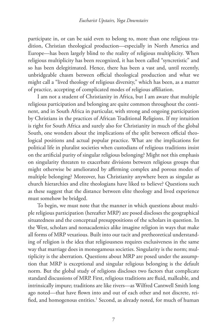participate in, or can be said even to belong to, more than one religious tradition, Christian theological production—especially in North America and Europe—has been largely blind to the reality of religious multiplicity. When religious multiplicity has been recognized, it has been called "syncretistic" and so has been delegitimated. Hence, there has been a vast and, until recently, unbridgeable chasm between official theological production and what we might call a "lived theology of religious diversity," which has been, as a matter of practice, accepting of complicated modes of religious affiliation.

I am not a student of Christianity in Africa, but I am aware that multiple religious participation and belonging are quite common throughout the continent, and in South Africa in particular, with strong and ongoing participation by Christians in the practices of African Traditional Religions. If my intuition is right for South Africa and surely also for Christianity in much of the global South, one wonders about the implications of the split between official theological positions and actual popular practice. What are the implications for political life in pluralist societies when custodians of religious traditions insist on the artificial purity of singular religious belonging? Might not this emphasis on singularity threaten to exacerbate divisions between religious groups that might otherwise be ameliorated by affirming complex and porous modes of multiple belonging? Moreover, has Christianity anywhere been as singular as church hierarchies and elite theologians have liked to believe? Questions such as these suggest that the distance between elite theology and lived experience must somehow be bridged.

To begin, we must note that the manner in which questions about multiple religious participation (hereafter MRP) are posed discloses the geographical situatedness and the conceptual presuppositions of the scholars in question. In the West, scholars and nonacademics alike imagine religion in ways that make all forms of MRP vexatious. Built into our tacit and pretheoretical understanding of religion is the idea that religiousness requires exclusiveness in the same way that marriage does in monogamous societies. Singularity is the norm; multiplicity is the aberration. Questions about MRP are posed under the assumption that MRP is exceptional and singular religious belonging is the default norm. But the global study of religions discloses two factors that complicate standard discussions of MRP. First, religious traditions are fluid, malleable, and intrinsically impure; traditions are like rivers—as Wilfred Cantwell Smith long ago noted—that have flown into and out of each other and not discrete, reified, and homogenous entities.<sup>1</sup> Second, as already noted, for much of human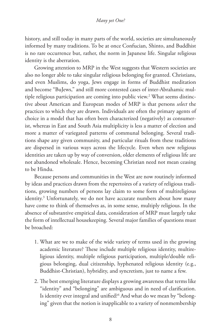history, and still today in many parts of the world, societies are simultaneously informed by many traditions. To be at once Confucian, Shinto, and Buddhist is no rare occurrence but, rather, the norm in Japanese life. Singular religious identity is the aberration.

Growing attention to MRP in the West suggests that Western societies are also no longer able to take singular religious belonging for granted. Christians, and even Muslims, do yoga, Jews engage in forms of Buddhist meditation and become "BuJews," and still more contested cases of inter-Abrahamic multiple religious participation are coming into public view.<sup>2</sup> What seems distinctive about American and European modes of MRP is that persons *select* the practices to which they are drawn. Individuals are often the primary agents of choice in a model that has often been characterized (negatively) as consumerist, whereas in East and South Asia multiplicity is less a matter of election and more a matter of variegated patterns of communal belonging. Several traditions shape any given community, and particular rituals from these traditions are dispersed in various ways across the lifecycle. Even when new religious identities are taken up by way of conversion, older elements of religious life are not abandoned wholesale. Hence, becoming Christian need not mean ceasing to be Hindu.

Because persons and communities in the West are now routinely informed by ideas and practices drawn from the repertoires of a variety of religious traditions, growing numbers of persons lay claim to some form of multireligious identity.3 Unfortunately, we do not have accurate numbers about how many have come to think of themselves as, in some sense, multiply religious. In the absence of substantive empirical data, consideration of MRP must largely take the form of intellectual housekeeping. Several major families of questions must be broached:

- 1. What are we to make of the wide variety of terms used in the growing academic literature? These include multiple religious identity, multireligious identity, multiple religious participation, multiple/double religious belonging, dual citizenship, hyphenated religious identity (e.g., Buddhist-Christian), hybridity, and syncretism, just to name a few.
- 2. The best emerging literature displays a growing awareness that terms like "identity" and "belonging" are ambiguous and in need of clarification. Is identity ever integral and unified?<sup>4</sup> And what do we mean by "belonging" given that the notion is inapplicable to a variety of nonmembership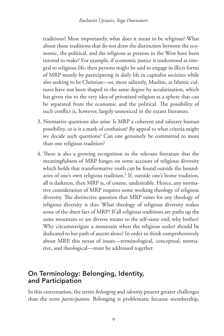traditions? Most importantly, what does it mean to be religious? What about those traditions that do not draw the distinction between the economic, the political, and the religious as persons in the West have been tutored to make? For example, if economic justice is understood as integral to religious life, then persons might be said to engage in illicit forms of MRP merely by participating in daily life in capitalist societies while also seeking to be Christian—or, more saliently, Muslim, as Islamic cultures have not been shaped to the same degree by secularization, which has given rise to the very idea of privatized religion as a sphere that can be separated from the economic and the political. The possibility of such conflict is, however, largely unnoticed in the extant literature.

- 3. Normative questions also arise: Is MRP a coherent and salutary human possibility, or is it a mark of confusion? By appeal to what criteria might we decide such questions? Can one genuinely be committed to more than one religious tradition?
- 4. There is also a growing recognition in the relevant literature that the meaningfulness of MRP hinges on some account of religious diversity which holds that transformative truth can be found outside the boundaries of one's own religious tradition.<sup>5</sup> If, outside one's home tradition, all is darkness, then MRP is, of course, undesirable. Hence, any normative consideration of MRP requires some working theology of religious diversity. The distinctive question that MRP raises for any theology of religious diversity is this: What theology of religious diversity makes sense of the sheer fact of MRP? If all religious traditions are paths up the same mountain or are diverse means to the self-same end, why bother? Why circumnavigate a mountain when the religious seeker should be dedicated to her path of ascent alone? In order to think comprehensively about MRP, this nexus of issues—terminological, conceptual, normative, and theological—must be addressed together.

# On Terminology: Belonging, Identity, and Participation

In this conversation, the terms *belonging* and *identity* present greater challenges than the term *participation*. Belonging is problematic because membership,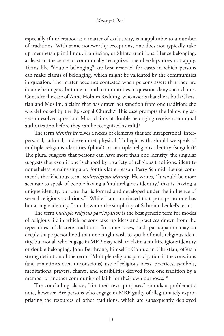#### *Many yet One?*

especially if understood as a matter of exclusivity, is inapplicable to a number of traditions. With some noteworthy exceptions, one does not typically take up membership in Hindu, Confucian, or Shinto traditions. Hence belonging, at least in the sense of communally recognized membership, does not apply. Terms like "double belonging" are best reserved for cases in which persons can make claims of belonging, which might be validated by the communities in question. The matter becomes contested when persons assert that they are double belongers, but one or both communities in question deny such claims. Consider the case of Anne Holmes Redding, who asserts that she is both Christian and Muslim, a claim that has drawn her sanction from one tradition: she was defrocked by the Episcopal Church.6 This case prompts the following asyet-unresolved question: Must claims of double belonging receive communal authorization before they can be recognized as valid?

The term *identity* involves a nexus of elements that are intrapersonal, interpersonal, cultural, and even metaphysical. To begin with, should we speak of multiple religious identities (plural) or multiple religious identity (singular)? The plural suggests that persons can have more than one identity; the singular suggests that even if one is shaped by a variety of religious traditions, identity nonetheless remains singular. For this latter reason, Perry Schmidt-Leukel commends the felicitous term *multireligious identity*. He writes, "It would be more accurate to speak of people having a 'multireligious identity,' that is, having a unique identity, but one that is formed and developed under the influence of several religious traditions."7 While I am convinced that perhaps no one has but a single identity, I am drawn to the simplicity of Schmidt-Leukel's term.

The term *multiple religious participation* is the best generic term for modes of religious life in which persons take up ideas and practices drawn from the repertoires of discrete traditions. In some cases, such participation may so deeply shape personhood that one might wish to speak of multireligious identity, but not all who engage in MRP may wish to claim a multireligious identity or double belonging. John Berthrong, himself a Confucian-Christian, offers a strong definition of the term: "Multiple religious participation is the conscious (and sometimes even unconscious) use of religious ideas, practices, symbols, meditations, prayers, chants, and sensibilities derived from one tradition by a member of another community of faith for their own purposes."<sup>8</sup>

The concluding clause, "for their own purposes," sounds a problematic note, however. Are persons who engage in MRP guilty of illegitimately expropriating the resources of other traditions, which are subsequently deployed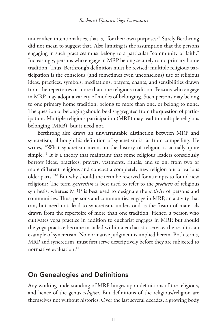under alien intentionalities, that is, "for their own purposes?" Surely Berthrong did not mean to suggest that. Also limiting is the assumption that the persons engaging in such practices must belong to a particular "community of faith." Increasingly, persons who engage in MRP belong securely to no primary home tradition. Thus, Berthrong's definition must be revised: multiple religious participation is the conscious (and sometimes even unconscious) use of religious ideas, practices, symbols, meditations, prayers, chants, and sensibilities drawn from the repertoires of more than one religious tradition. Persons who engage in MRP may adopt a variety of modes of belonging. Such persons may belong to one primary home tradition, belong to more than one, or belong to none. The question of belonging should be disaggregated from the question of participation. Multiple religious participation (MRP) may lead to multiple religious belonging (MRB), but it need not.

Berthrong also draws an unwarrantable distinction between MRP and syncretism, although his definition of syncretism is far from compelling. He writes, "What syncretism means in the history of religion is actually quite simple."9 It is a theory that maintains that some religious leaders consciously borrow ideas, practices, prayers, vestments, rituals, and so on, from two or more different religions and concoct a completely new religion out of various older parts."10 But why should the term be reserved for attempts to found new religions? The term *syncretism* is best used to refer to the *products* of religious synthesis, whereas MRP is best used to designate the *activity* of persons and communities. Thus, persons and communities engage in MRP, an activity that can, but need not, lead to syncretism, understood as the fusion of materials drawn from the repertoire of more than one tradition. Hence, a person who cultivates yoga practice in addition to eucharist engages in MRP, but should the yoga practice become installed within a eucharistic service, the result is an example of syncretism. No normative judgment is implied herein. Both terms, MRP and syncretism, must first serve descriptively before they are subjected to normative evaluation.<sup>11</sup>

### On Genealogies and Definitions

Any working understanding of MRP hinges upon definitions of the religious, and hence of the genus *religion*. But definitions of the religious/religion are themselves not without histories. Over the last several decades, a growing body